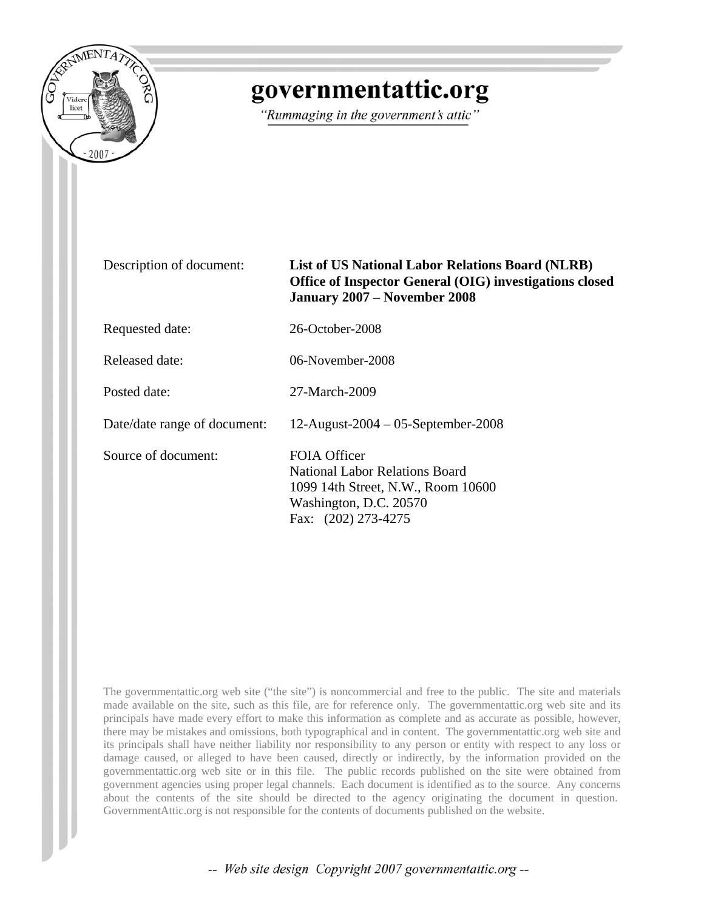

## governmentattic.org

"Rummaging in the government's attic"

## Description of document: **List of US National Labor Relations Board (NLRB) Office of Inspector General (OIG) investigations closed January 2007 – November 2008**

Requested date: 26-October-2008

Released date: 06-November-2008

Posted date: 27-March-2009

Date/date range of document: 12-August-2004 – 05-September-2008

Source of document: FOIA Officer

National Labor Relations Board 1099 14th Street, N.W., Room 10600 Washington, D.C. 20570 Fax: (202) 273-4275

The governmentattic.org web site ("the site") is noncommercial and free to the public. The site and materials made available on the site, such as this file, are for reference only. The governmentattic.org web site and its principals have made every effort to make this information as complete and as accurate as possible, however, there may be mistakes and omissions, both typographical and in content. The governmentattic.org web site and its principals shall have neither liability nor responsibility to any person or entity with respect to any loss or damage caused, or alleged to have been caused, directly or indirectly, by the information provided on the governmentattic.org web site or in this file. The public records published on the site were obtained from government agencies using proper legal channels. Each document is identified as to the source. Any concerns about the contents of the site should be directed to the agency originating the document in question. GovernmentAttic.org is not responsible for the contents of documents published on the website.

-- Web site design Copyright 2007 governmentattic.org --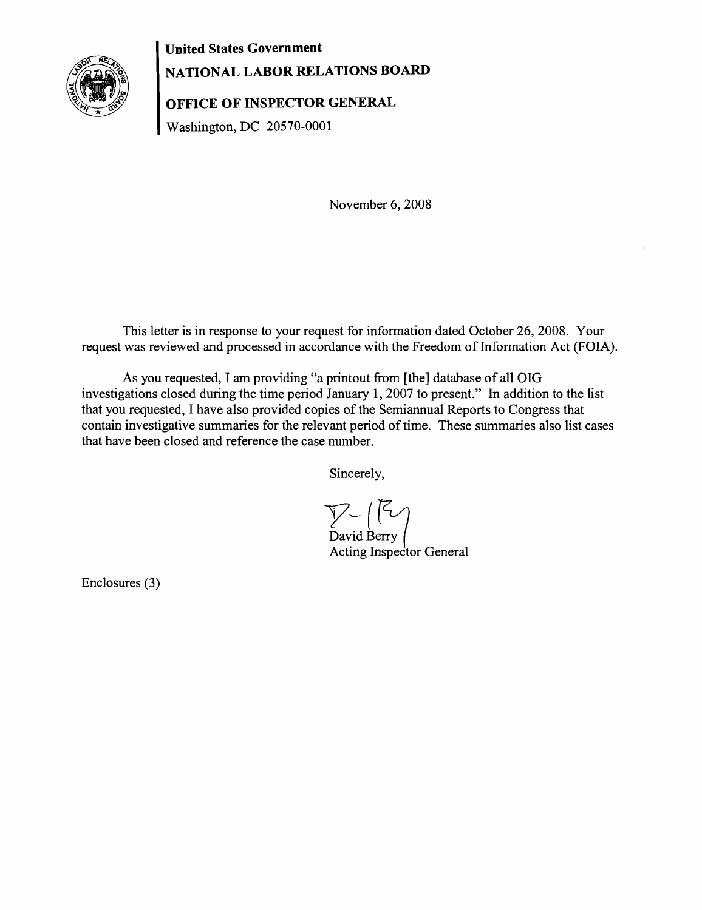

**United States Government NATIONAL LABOR RELATIONS BOARD** 

**OFFICE OF INSPECTOR GENERAL** 

Washington, DC 20570-0001

November 6, 2008

This letter is in response to your request for information dated October 26, 2008. Your request was reviewed and processed in accordance with the Freedom of Information Act (FOIA).

As you requested, I am providing "a printout from [the] database of all OIG investigations closed during the time period January 1,2007 to present." In addition to the list that you requested, I have also provided copies of the Semiannual Reports to Congress that contain investigative summaries for the relevant period of time. These summaries also list cases that have been closed and reference the case number.

Sincerely,

 $V$ - $($   $\vee$ David Berry ( Acting Inspector General

Enclosures (3)